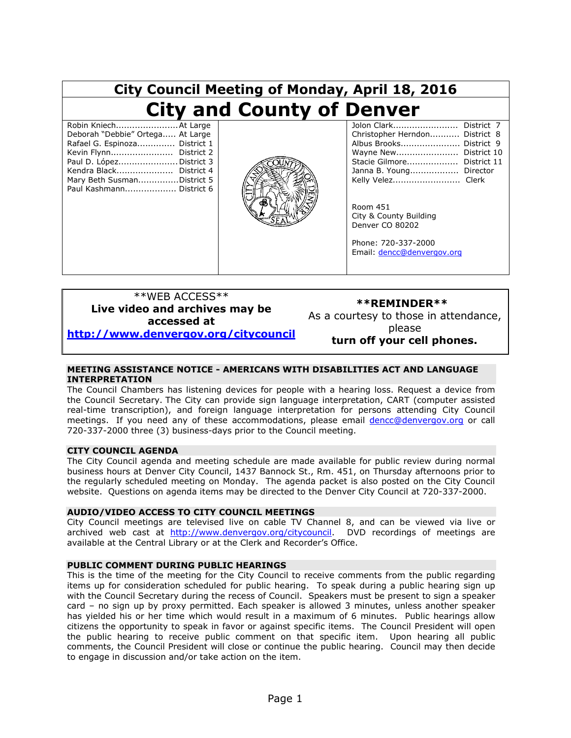| City Council Meeting of Monday, April 18, 2016                                                                                                                                                                                      |  |                                                                                                                                                                                                                                                                                                             |
|-------------------------------------------------------------------------------------------------------------------------------------------------------------------------------------------------------------------------------------|--|-------------------------------------------------------------------------------------------------------------------------------------------------------------------------------------------------------------------------------------------------------------------------------------------------------------|
| <b>City and County of Denver</b>                                                                                                                                                                                                    |  |                                                                                                                                                                                                                                                                                                             |
| Robin KniechAt Large<br>Deborah "Debbie" Ortega At Large<br>Rafael G. Espinoza District 1<br>Kevin Flynn District 2<br>Paul D. LópezDistrict 3<br>Kendra Black District 4<br>Mary Beth SusmanDistrict 5<br>Paul Kashmann District 6 |  | Jolon Clark<br>District 7<br>Christopher Herndon District 8<br>Albus Brooks District 9<br>Wayne New District 10<br>Stacie Gilmore District 11<br>Janna B. Young Director<br>Kelly Velez Clerk<br>Room 451<br>City & County Building<br>Denver CO 80202<br>Phone: 720-337-2000<br>Email: dencc@denvergov.org |

#### \*\*WEB ACCESS\*\* **Live video and archives may be accessed at [http://www.denvergov.org/citycouncil](http://www.denvergov.org/citycouncil/DenverCityCouncil/MeetingCalendar/tabid/436353/Default.aspx)**

#### **\*\*REMINDER\*\***

As a courtesy to those in attendance, please **turn off your cell phones.**

#### **MEETING ASSISTANCE NOTICE - AMERICANS WITH DISABILITIES ACT AND LANGUAGE INTERPRETATION**

The Council Chambers has listening devices for people with a hearing loss. Request a device from the Council Secretary. The City can provide sign language interpretation, CART (computer assisted real-time transcription), and foreign language interpretation for persons attending City Council meetings. If you need any of these accommodations, please email **dencc@denvergov.org** or call 720-337-2000 three (3) business-days prior to the Council meeting.

#### **CITY COUNCIL AGENDA**

The City Council agenda and meeting schedule are made available for public review during normal business hours at Denver City Council, 1437 Bannock St., Rm. 451, on Thursday afternoons prior to the regularly scheduled meeting on Monday. The agenda packet is also posted on the City Council website. Questions on agenda items may be directed to the Denver City Council at 720-337-2000.

#### **AUDIO/VIDEO ACCESS TO CITY COUNCIL MEETINGS**

City Council meetings are televised live on cable TV Channel 8, and can be viewed via live or archived web cast at [http://www.denvergov.org/citycouncil.](http://www.denvergov.org/citycouncil) DVD recordings of meetings are available at the Central Library or at the Clerk and Recorder's Office.

#### **PUBLIC COMMENT DURING PUBLIC HEARINGS**

This is the time of the meeting for the City Council to receive comments from the public regarding items up for consideration scheduled for public hearing. To speak during a public hearing sign up with the Council Secretary during the recess of Council. Speakers must be present to sign a speaker card – no sign up by proxy permitted. Each speaker is allowed 3 minutes, unless another speaker has yielded his or her time which would result in a maximum of 6 minutes. Public hearings allow citizens the opportunity to speak in favor or against specific items. The Council President will open the public hearing to receive public comment on that specific item. Upon hearing all public comments, the Council President will close or continue the public hearing. Council may then decide to engage in discussion and/or take action on the item.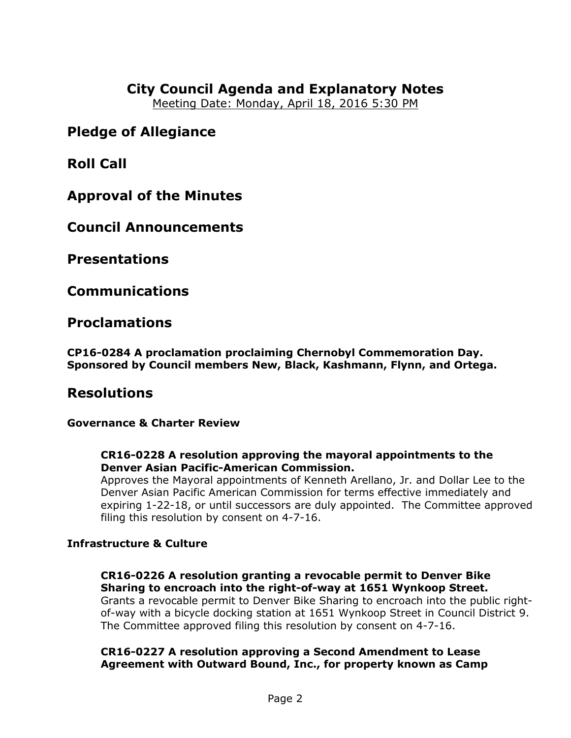# **City Council Agenda and Explanatory Notes**

Meeting Date: Monday, April 18, 2016 5:30 PM

# **Pledge of Allegiance**

**Roll Call**

**Approval of the Minutes**

**Council Announcements**

**Presentations**

**Communications**

**Proclamations**

**CP16-0284 A proclamation proclaiming Chernobyl Commemoration Day. Sponsored by Council members New, Black, Kashmann, Flynn, and Ortega.** 

# **Resolutions**

**Governance & Charter Review**

## **CR16-0228 A resolution approving the mayoral appointments to the Denver Asian Pacific-American Commission.**

Approves the Mayoral appointments of Kenneth Arellano, Jr. and Dollar Lee to the Denver Asian Pacific American Commission for terms effective immediately and expiring 1-22-18, or until successors are duly appointed. The Committee approved filing this resolution by consent on 4-7-16.

# **Infrastructure & Culture**

## **CR16-0226 A resolution granting a revocable permit to Denver Bike Sharing to encroach into the right-of-way at 1651 Wynkoop Street.**

Grants a revocable permit to Denver Bike Sharing to encroach into the public rightof-way with a bicycle docking station at 1651 Wynkoop Street in Council District 9. The Committee approved filing this resolution by consent on 4-7-16.

## **CR16-0227 A resolution approving a Second Amendment to Lease Agreement with Outward Bound, Inc., for property known as Camp**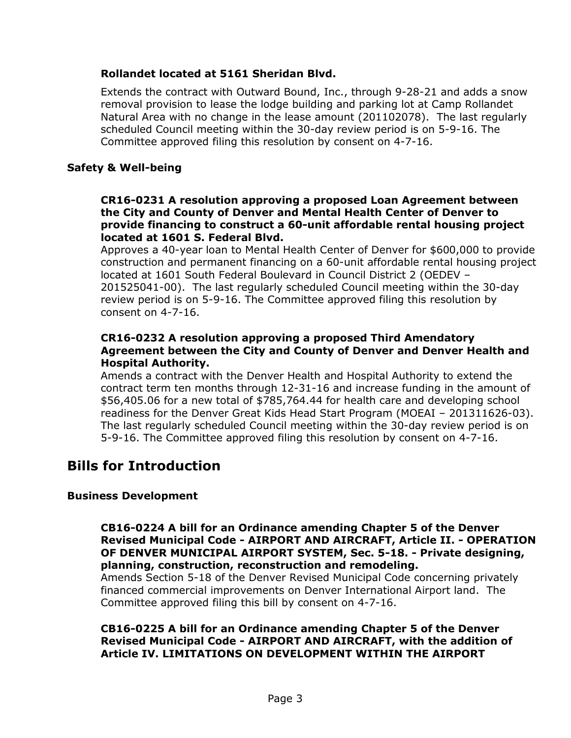## **Rollandet located at 5161 Sheridan Blvd.**

Extends the contract with Outward Bound, Inc., through 9-28-21 and adds a snow removal provision to lease the lodge building and parking lot at Camp Rollandet Natural Area with no change in the lease amount (201102078). The last regularly scheduled Council meeting within the 30-day review period is on 5-9-16. The Committee approved filing this resolution by consent on 4-7-16.

### **Safety & Well-being**

#### **CR16-0231 A resolution approving a proposed Loan Agreement between the City and County of Denver and Mental Health Center of Denver to provide financing to construct a 60-unit affordable rental housing project located at 1601 S. Federal Blvd.**

Approves a 40-year loan to Mental Health Center of Denver for \$600,000 to provide construction and permanent financing on a 60-unit affordable rental housing project located at 1601 South Federal Boulevard in Council District 2 (OEDEV – 201525041-00). The last regularly scheduled Council meeting within the 30-day review period is on 5-9-16. The Committee approved filing this resolution by consent on 4-7-16.

### **CR16-0232 A resolution approving a proposed Third Amendatory Agreement between the City and County of Denver and Denver Health and Hospital Authority.**

Amends a contract with the Denver Health and Hospital Authority to extend the contract term ten months through 12-31-16 and increase funding in the amount of \$56,405.06 for a new total of \$785,764.44 for health care and developing school readiness for the Denver Great Kids Head Start Program (MOEAI – 201311626-03). The last regularly scheduled Council meeting within the 30-day review period is on 5-9-16. The Committee approved filing this resolution by consent on 4-7-16.

# **Bills for Introduction**

#### **Business Development**

**CB16-0224 A bill for an Ordinance amending Chapter 5 of the Denver Revised Municipal Code - AIRPORT AND AIRCRAFT, Article II. - OPERATION OF DENVER MUNICIPAL AIRPORT SYSTEM, Sec. 5-18. - Private designing, planning, construction, reconstruction and remodeling.**

Amends Section 5-18 of the Denver Revised Municipal Code concerning privately financed commercial improvements on Denver International Airport land. The Committee approved filing this bill by consent on 4-7-16.

**CB16-0225 A bill for an Ordinance amending Chapter 5 of the Denver Revised Municipal Code - AIRPORT AND AIRCRAFT, with the addition of Article IV. LIMITATIONS ON DEVELOPMENT WITHIN THE AIRPORT**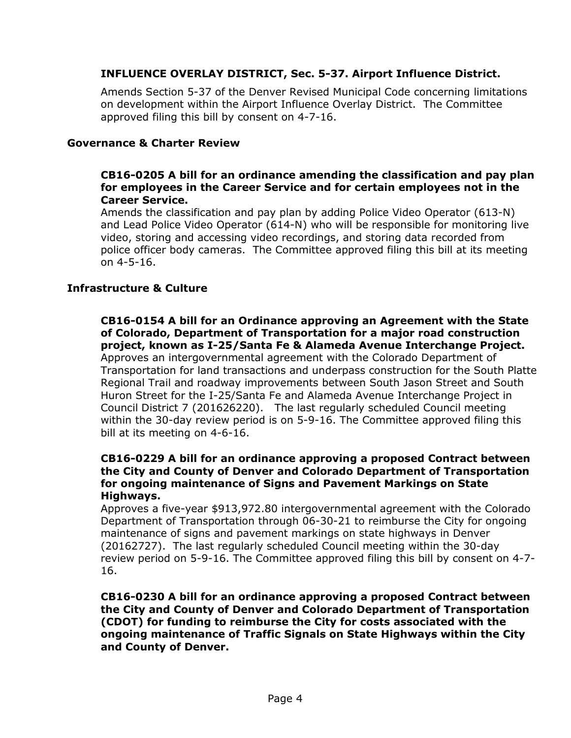## **INFLUENCE OVERLAY DISTRICT, Sec. 5-37. Airport Influence District.**

Amends Section 5-37 of the Denver Revised Municipal Code concerning limitations on development within the Airport Influence Overlay District. The Committee approved filing this bill by consent on 4-7-16.

### **Governance & Charter Review**

## **CB16-0205 A bill for an ordinance amending the classification and pay plan for employees in the Career Service and for certain employees not in the Career Service.**

Amends the classification and pay plan by adding Police Video Operator (613-N) and Lead Police Video Operator (614-N) who will be responsible for monitoring live video, storing and accessing video recordings, and storing data recorded from police officer body cameras. The Committee approved filing this bill at its meeting on 4-5-16.

### **Infrastructure & Culture**

**CB16-0154 A bill for an Ordinance approving an Agreement with the State of Colorado, Department of Transportation for a major road construction project, known as I-25/Santa Fe & Alameda Avenue Interchange Project.** Approves an intergovernmental agreement with the Colorado Department of Transportation for land transactions and underpass construction for the South Platte Regional Trail and roadway improvements between South Jason Street and South Huron Street for the I-25/Santa Fe and Alameda Avenue Interchange Project in Council District 7 (201626220). The last regularly scheduled Council meeting within the 30-day review period is on 5-9-16. The Committee approved filing this bill at its meeting on 4-6-16.

#### **CB16-0229 A bill for an ordinance approving a proposed Contract between the City and County of Denver and Colorado Department of Transportation for ongoing maintenance of Signs and Pavement Markings on State Highways.**

Approves a five-year \$913,972.80 intergovernmental agreement with the Colorado Department of Transportation through 06-30-21 to reimburse the City for ongoing maintenance of signs and pavement markings on state highways in Denver (20162727). The last regularly scheduled Council meeting within the 30-day review period on 5-9-16. The Committee approved filing this bill by consent on 4-7- 16.

### **CB16-0230 A bill for an ordinance approving a proposed Contract between the City and County of Denver and Colorado Department of Transportation (CDOT) for funding to reimburse the City for costs associated with the ongoing maintenance of Traffic Signals on State Highways within the City and County of Denver.**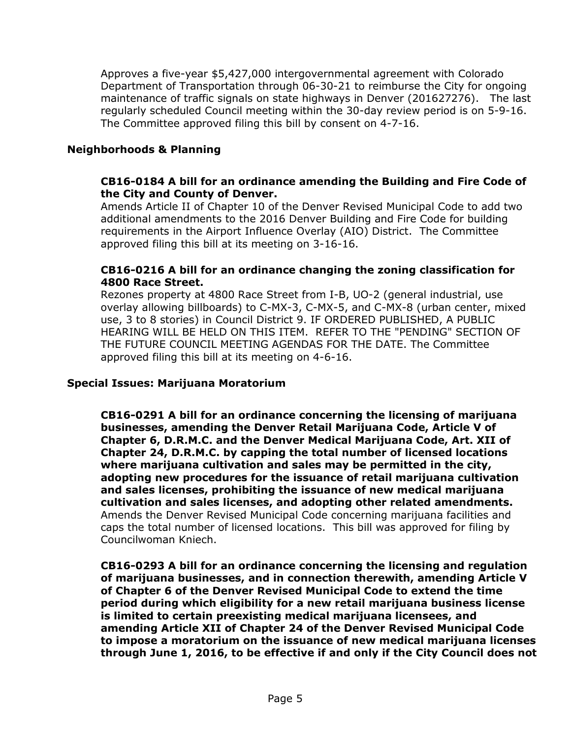Approves a five-year \$5,427,000 intergovernmental agreement with Colorado Department of Transportation through 06-30-21 to reimburse the City for ongoing maintenance of traffic signals on state highways in Denver (201627276). The last regularly scheduled Council meeting within the 30-day review period is on 5-9-16. The Committee approved filing this bill by consent on 4-7-16.

## **Neighborhoods & Planning**

### **CB16-0184 A bill for an ordinance amending the Building and Fire Code of the City and County of Denver.**

Amends Article II of Chapter 10 of the Denver Revised Municipal Code to add two additional amendments to the 2016 Denver Building and Fire Code for building requirements in the Airport Influence Overlay (AIO) District. The Committee approved filing this bill at its meeting on 3-16-16.

### **CB16-0216 A bill for an ordinance changing the zoning classification for 4800 Race Street.**

Rezones property at 4800 Race Street from I-B, UO-2 (general industrial, use overlay allowing billboards) to C-MX-3, C-MX-5, and C-MX-8 (urban center, mixed use, 3 to 8 stories) in Council District 9. IF ORDERED PUBLISHED, A PUBLIC HEARING WILL BE HELD ON THIS ITEM. REFER TO THE "PENDING" SECTION OF THE FUTURE COUNCIL MEETING AGENDAS FOR THE DATE. The Committee approved filing this bill at its meeting on 4-6-16.

#### **Special Issues: Marijuana Moratorium**

**CB16-0291 A bill for an ordinance concerning the licensing of marijuana businesses, amending the Denver Retail Marijuana Code, Article V of Chapter 6, D.R.M.C. and the Denver Medical Marijuana Code, Art. XII of Chapter 24, D.R.M.C. by capping the total number of licensed locations where marijuana cultivation and sales may be permitted in the city, adopting new procedures for the issuance of retail marijuana cultivation and sales licenses, prohibiting the issuance of new medical marijuana cultivation and sales licenses, and adopting other related amendments.** Amends the Denver Revised Municipal Code concerning marijuana facilities and caps the total number of licensed locations. This bill was approved for filing by Councilwoman Kniech.

**CB16-0293 A bill for an ordinance concerning the licensing and regulation of marijuana businesses, and in connection therewith, amending Article V of Chapter 6 of the Denver Revised Municipal Code to extend the time period during which eligibility for a new retail marijuana business license is limited to certain preexisting medical marijuana licensees, and amending Article XII of Chapter 24 of the Denver Revised Municipal Code to impose a moratorium on the issuance of new medical marijuana licenses through June 1, 2016, to be effective if and only if the City Council does not**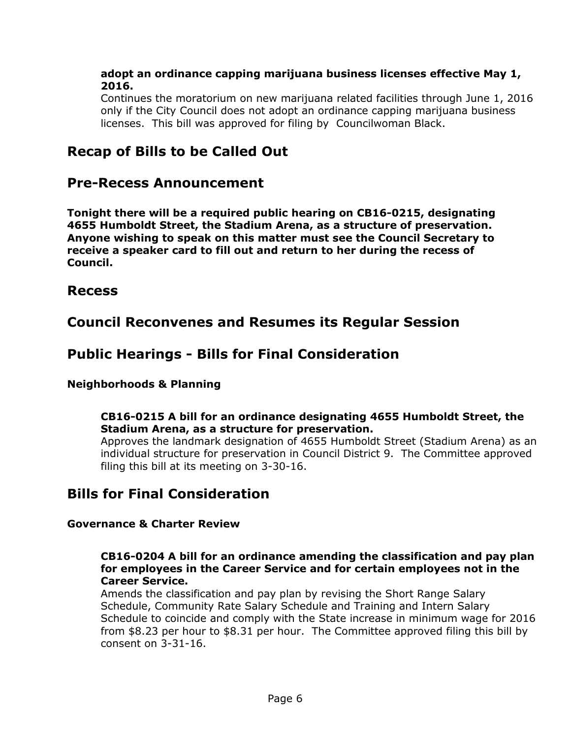### **adopt an ordinance capping marijuana business licenses effective May 1, 2016.**

Continues the moratorium on new marijuana related facilities through June 1, 2016 only if the City Council does not adopt an ordinance capping marijuana business licenses. This bill was approved for filing by Councilwoman Black.

# **Recap of Bills to be Called Out**

# **Pre-Recess Announcement**

**Tonight there will be a required public hearing on CB16-0215, designating 4655 Humboldt Street, the Stadium Arena, as a structure of preservation. Anyone wishing to speak on this matter must see the Council Secretary to receive a speaker card to fill out and return to her during the recess of Council.**

# **Recess**

# **Council Reconvenes and Resumes its Regular Session**

# **Public Hearings - Bills for Final Consideration**

## **Neighborhoods & Planning**

## **CB16-0215 A bill for an ordinance designating 4655 Humboldt Street, the Stadium Arena, as a structure for preservation.**

Approves the landmark designation of 4655 Humboldt Street (Stadium Arena) as an individual structure for preservation in Council District 9. The Committee approved filing this bill at its meeting on 3-30-16.

# **Bills for Final Consideration**

## **Governance & Charter Review**

### **CB16-0204 A bill for an ordinance amending the classification and pay plan for employees in the Career Service and for certain employees not in the Career Service.**

Amends the classification and pay plan by revising the Short Range Salary Schedule, Community Rate Salary Schedule and Training and Intern Salary Schedule to coincide and comply with the State increase in minimum wage for 2016 from \$8.23 per hour to \$8.31 per hour. The Committee approved filing this bill by consent on 3-31-16.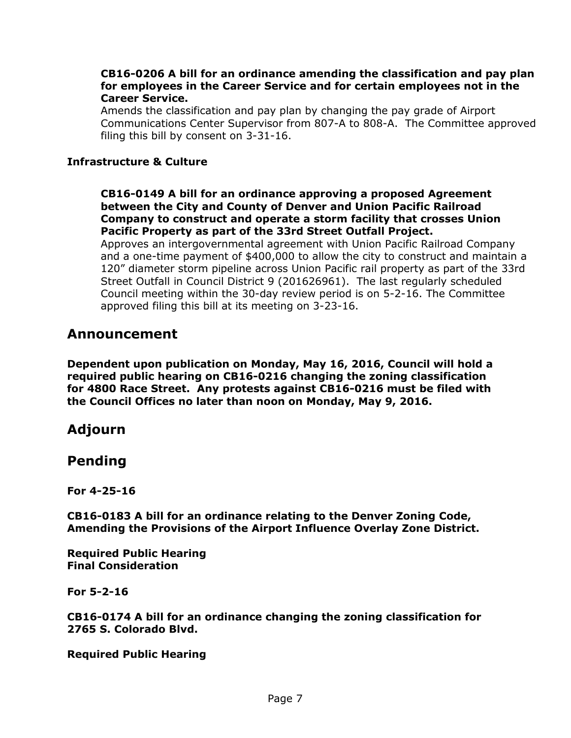#### **CB16-0206 A bill for an ordinance amending the classification and pay plan for employees in the Career Service and for certain employees not in the Career Service.**

Amends the classification and pay plan by changing the pay grade of Airport Communications Center Supervisor from 807-A to 808-A. The Committee approved filing this bill by consent on 3-31-16.

## **Infrastructure & Culture**

**CB16-0149 A bill for an ordinance approving a proposed Agreement between the City and County of Denver and Union Pacific Railroad Company to construct and operate a storm facility that crosses Union Pacific Property as part of the 33rd Street Outfall Project.**

Approves an intergovernmental agreement with Union Pacific Railroad Company and a one-time payment of \$400,000 to allow the city to construct and maintain a 120" diameter storm pipeline across Union Pacific rail property as part of the 33rd Street Outfall in Council District 9 (201626961). The last regularly scheduled Council meeting within the 30-day review period is on 5-2-16. The Committee approved filing this bill at its meeting on 3-23-16.

# **Announcement**

**Dependent upon publication on Monday, May 16, 2016, Council will hold a required public hearing on CB16-0216 changing the zoning classification for 4800 Race Street. Any protests against CB16-0216 must be filed with the Council Offices no later than noon on Monday, May 9, 2016.**

# **Adjourn**

# **Pending**

**For 4-25-16**

**CB16-0183 A bill for an ordinance relating to the Denver Zoning Code, Amending the Provisions of the Airport Influence Overlay Zone District.** 

**Required Public Hearing Final Consideration**

**For 5-2-16**

**CB16-0174 A bill for an ordinance changing the zoning classification for 2765 S. Colorado Blvd.** 

**Required Public Hearing**